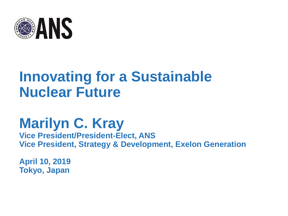

# **Innovating for a Sustainable Nuclear Future**

# **Marilyn C. Kray**

**Vice President/President-Elect, ANS Vice President, Strategy & Development, Exelon Generation** 

**April 10, 2019 Tokyo, Japan**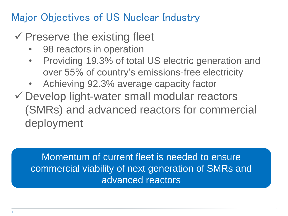## Major Objectives of US Nuclear Industry

# $\checkmark$  Preserve the existing fleet

- 98 reactors in operation
- Providing 19.3% of total US electric generation and over 55% of country's emissions-free electricity
- Achieving 92.3% average capacity factor
- Develop light-water small modular reactors (SMRs) and advanced reactors for commercial deployment

Momentum of current fleet is needed to ensure commercial viability of next generation of SMRs and advanced reactors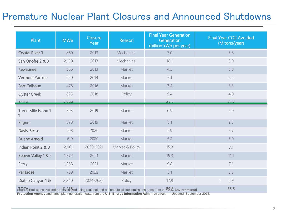### Premature Nuclear Plant Closures and Announced Shutdowns

| Plant                  | <b>MWe</b>                                                                                                                            | Closure<br>Year | Reason          | <b>Final Year Generation</b><br>Generation<br>(billion kWh per year) | Final Year CO2 Avoided<br>(M tons/year) |  |  |
|------------------------|---------------------------------------------------------------------------------------------------------------------------------------|-----------------|-----------------|----------------------------------------------------------------------|-----------------------------------------|--|--|
| <b>Crystal River 3</b> | 860                                                                                                                                   | 2013            | Mechanical      | 7.0                                                                  | 3.8                                     |  |  |
| San Onofre 2 & 3       | 2,150                                                                                                                                 | 2013            | Mechanical      | 18.1                                                                 | 8.0                                     |  |  |
| Kewaunee               | 566                                                                                                                                   | 2013            | Market          | 4.5                                                                  | 3.8                                     |  |  |
| <b>Vermont Yankee</b>  | 620                                                                                                                                   | 2014            | Market          | 5.1                                                                  | 2.4                                     |  |  |
| Fort Calhoun           | 478                                                                                                                                   | 2016            | Market          | 3.4                                                                  | 3.3                                     |  |  |
| <b>Oyster Creek</b>    | 625                                                                                                                                   | 2018            | Policy          | 5.4                                                                  | 4.0                                     |  |  |
| <b>TOTAL</b>           | 5,200                                                                                                                                 |                 |                 | 125                                                                  | 252                                     |  |  |
| Three Mile Island 1    | 803                                                                                                                                   | 2019            | Market          | 6.9                                                                  | 5.0                                     |  |  |
| Pilgrim                | 678                                                                                                                                   | 2019            | Market          | 5.1                                                                  | 2.3                                     |  |  |
| Davis-Besse            | 908                                                                                                                                   | 2020            | Market          | 7.9                                                                  | 5.7                                     |  |  |
| <b>Duane Arnold</b>    | 619                                                                                                                                   | 2020            | Market          | 5.2                                                                  | 5.0                                     |  |  |
| Indian Point 2 & 3     | 2,061                                                                                                                                 | 2020-2021       | Market & Policy | 15.3                                                                 | 7.1                                     |  |  |
| Beaver Valley 1 & 2    | 1,872                                                                                                                                 | 2021            | Market          | 15.3                                                                 | 11.1                                    |  |  |
| Perry                  | 1,268                                                                                                                                 | 2021            | Market          | 9.8                                                                  | 7.1                                     |  |  |
| <b>Palisades</b>       | 789                                                                                                                                   | 2022            | Market          | 6.1                                                                  | 5.3                                     |  |  |
| Diablo Canyon 1 &      | 2,240                                                                                                                                 | 2024-2025       | Policy          | 17.9                                                                 | 6.9                                     |  |  |
|                        | 55.5<br>SUPLALE missions avoided are tal 238 red using regional and national fossil fuel emissions rates from the 39.5. Environmental |                 |                 |                                                                      |                                         |  |  |

**Protection Agency** and latest plant generation data from the **U.S. Energy Information Administration**. Updated: September 2018.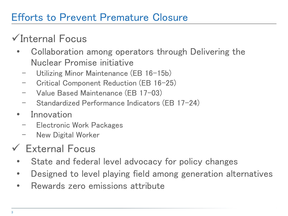## Efforts to Prevent Premature Closure

# Internal Focus

- Collaboration among operators through Delivering the Nuclear Promise initiative
	- Utilizing Minor Maintenance (EB 16-15b)
	- Critical Component Reduction (EB 16-25)
	- Value Based Maintenance (EB 17-03)
	- Standardized Performance Indicators (EB 17-24)
- **Innovation** 
	- Electronic Work Packages
	- New Digital Worker
- External Focus
	- State and federal level advocacy for policy changes
	- Designed to level playing field among generation alternatives
	- Rewards zero emissions attribute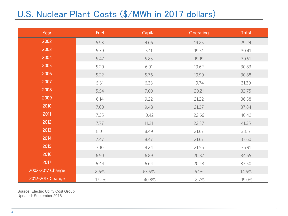### U.S. Nuclear Plant Costs (\$/MWh in 2017 dollars)

| Year             | Fuel     | Capital  | <b>Operating</b> | Total     |
|------------------|----------|----------|------------------|-----------|
| 2002             | 5.93     | 4.06     | 19.25            | 29.24     |
| 2003             | 5.79     | 5.11     | 19.51            | 30.41     |
| 2004             | 5.47     | 5.85     | 19.19            | 30.51     |
| 2005             | 5.20     | 6.01     | 19.62            | 30.83     |
| 2006             | 5.22     | 5.76     | 19.90            | 30.88     |
| 2007             | 5.31     | 6.33     | 19.74            | 31.39     |
| 2008             | 5.54     | 7.00     | 20.21            | 32.75     |
| 2009             | 6.14     | 9.22     | 21.22            | 36.58     |
| 2010             | 7.00     | 9.48     | 21.37            | 37.84     |
| 2011             | 7.35     | 10.42    | 22.66            | 40.42     |
| 2012             | 7.77     | 11.21    | 22.37            | 41.35     |
| 2013             | 8.01     | 8.49     | 21.67            | 38.17     |
| 2014             | 7.47     | 8.47     | 21.67            | 37.60     |
| 2015             | 7.10     | 8.24     | 21.56            | 36.91     |
| 2016             | 6.90     | 6.89     | 20.87            | 34.65     |
| 2017             | 6.44     | 6.64     | 20.43            | 33.50     |
| 2002-2017 Change | 8.6%     | 63.5%    | 6.1%             | 14.6%     |
| 2012-2017 Change | $-17.2%$ | $-40.8%$ | $-8.7%$          | $-19.0\%$ |

Source: Electric Utility Cost Group Updated: September 2018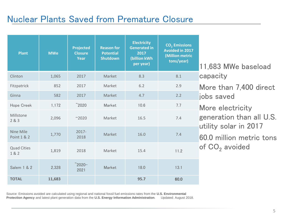### Nuclear Plants Saved from Premature Closure

| <b>Plant</b>              | <b>MWe</b> | <b>Projected</b><br><b>Closure</b><br>Year | <b>Reason for</b><br><b>Potential</b><br><b>Shutdown</b> | <b>Electricity</b><br><b>Generated in</b><br>2017<br>(billion kWh<br>per year) | CO <sub>2</sub> Emissions<br><b>Avoided in 2017</b><br><b>(Million metric</b><br>tons/year) | 11,683 MWe baseload                                                                                                                                   |  |
|---------------------------|------------|--------------------------------------------|----------------------------------------------------------|--------------------------------------------------------------------------------|---------------------------------------------------------------------------------------------|-------------------------------------------------------------------------------------------------------------------------------------------------------|--|
| Clinton                   | 1,065      | 2017                                       | Market                                                   | 8.3                                                                            | 8.1                                                                                         | capacity<br>More than 7,400 direct<br>jobs saved<br>More electricity<br>generation than all U.S.<br>utility solar in 2017<br>60.0 million metric tons |  |
| Fitzpatrick               | 852        | 2017                                       | Market                                                   | 6.2                                                                            | 2.9                                                                                         |                                                                                                                                                       |  |
| Ginna                     | 582        | 2017                                       | Market                                                   | 4.7                                                                            | 2.2                                                                                         |                                                                                                                                                       |  |
| Hope Creek                | 1,172      | $\degree$ 2020                             | Market                                                   | 10.6                                                                           | 7.7                                                                                         |                                                                                                                                                       |  |
| Millstone<br>283          | 2,096      | $^{\sim}2020$                              | Market                                                   | 16.5                                                                           | 7.4                                                                                         |                                                                                                                                                       |  |
| Nine Mile<br>Point 1 & 2  | 1,770      | $2017 -$<br>2018                           | Market                                                   | 16.0                                                                           | 7.4                                                                                         |                                                                                                                                                       |  |
| <b>Quad Cities</b><br>1&2 | 1,819      | 2018                                       | Market                                                   | 15.4                                                                           | 11.2                                                                                        | of CO <sub>2</sub> avoided                                                                                                                            |  |
| <b>Salem 1 &amp; 2</b>    | 2,328      | $^{\sim}$ 2020-<br>2021                    | Market                                                   | 18.0                                                                           | 13.1                                                                                        |                                                                                                                                                       |  |
| <b>TOTAL</b>              | 11,683     |                                            |                                                          | 95.7                                                                           | 60.0                                                                                        |                                                                                                                                                       |  |

Source: Emissions avoided are calculated using regional and national fossil fuel emissions rates from the **U.S. Environmental Protection Agency** and latest plant generation data from the **U.S. Energy Information Administration**. Updated: August 2018.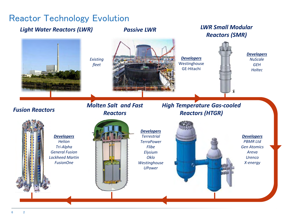#### Reactor Technology Evolution

#### *Light Water Reactors (LWR) Passive LWR LWR Small Modular*

*Molten Salt and Fast* 

*Existing fleet* 

# *Reactors (SMR)*



*Developers* 

GE-Hitachi

*High Temperature Gas-cooled* 

*Developers NuScale GEH Holtec* 

#### *Reactors Fusion Reactors Developers PBMR Ltd Gen Atomics Areva Urenco X-energy Developers Terrestrial TerraPower Flibe Elysium Oklo Westinghouse UPower Developers Helion Tri-Alpha General Fusion Lockheed Martin FusionOne Reactors (HTGR)*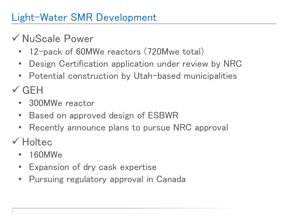# Light-Water SMR Development

# NuScale Power

- 12-pack of 60MWe reactors (720Mwe total)
- Design Certification application under review by NRC
- Potential construction by Utah-based municipalities

 $\checkmark$  GFH

- 300MWe reactor
- Based on approved design of ESBWR
- Recently announce plans to pursue NRC approval

 $\checkmark$  Holtec

- 160MWe
- Expansion of dry cask expertise
- Pursuing regulatory approval in Canada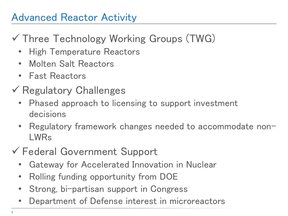## Advanced Reactor Activity

# Three Technology Working Groups (TWG)

- High Temperature Reactors
- Molten Salt Reactors
- Fast Reactors
- $\checkmark$  Regulatory Challenges
	- Phased approach to licensing to support investment decisions
	- Regulatory framework changes needed to accommodate non-LWRs
- Federal Government Support
	- Gateway for Accelerated Innovation in Nuclear
	- Rolling funding opportunity from DOE
	- Strong, bi-partisan support in Congress
	- Department of Defense interest in microreactors